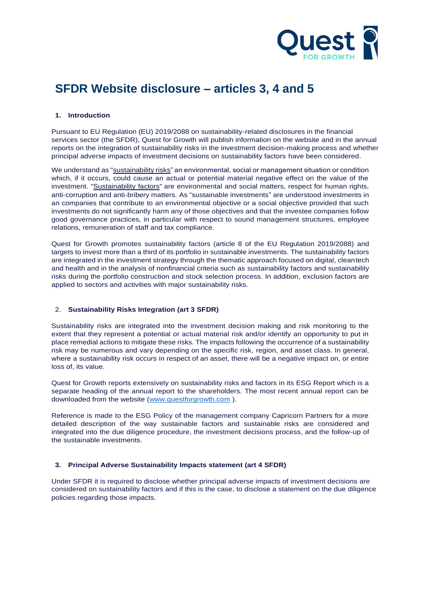

# **SFDR Website disclosure – articles 3, 4 and 5**

## **1. Introduction**

Pursuant to EU Regulation (EU) 2019/2088 on sustainability-related disclosures in the financial services sector (the SFDR), Quest for Growth will publish information on the website and in the annual reports on the integration of sustainability risks in the investment decision-making process and whether principal adverse impacts of investment decisions on sustainability factors have been considered.

We understand as "sustainability risks" an environmental, social or management situation or condition which, if it occurs, could cause an actual or potential material negative effect on the value of the investment. "Sustainability factors" are environmental and social matters, respect for human rights, anti-corruption and anti-bribery matters. As "sustainable investments" are understood investments in an companies that contribute to an environmental objective or a social objective provided that such investments do not significantly harm any of those objectives and that the investee companies follow good governance practices, in particular with respect to sound management structures, employee relations, remuneration of staff and tax compliance.

Quest for Growth promotes sustainability factors (article 8 of the EU Regulation 2019/2088) and targets to invest more than a third of its portfolio in sustainable investments. The sustainability factors are integrated in the investment strategy through the thematic approach focused on digital, cleantech and health and in the analysis of nonfinancial criteria such as sustainability factors and sustainability risks during the portfolio construction and stock selection process. In addition, exclusion factors are applied to sectors and activities with major sustainability risks.

## 2. **Sustainability Risks Integration (art 3 SFDR)**

Sustainability risks are integrated into the investment decision making and risk monitoring to the extent that they represent a potential or actual material risk and/or identify an opportunity to put in place remedial actions to mitigate these risks. The impacts following the occurrence of a sustainability risk may be numerous and vary depending on the specific risk, region, and asset class. In general, where a sustainability risk occurs in respect of an asset, there will be a negative impact on, or entire loss of, its value.

Quest for Growth reports extensively on sustainability risks and factors in its ESG Report which is a separate heading of the annual report to the shareholders. The most recent annual report can be downloaded from the website [\(www.questforgrowth.com](http://www.questforgrowth.com/) ).

Reference is made to the ESG Policy of the management company Capricorn Partners for a more detailed description of the way sustainable factors and sustainable risks are considered and integrated into the due diligence procedure, the investment decisions process, and the follow-up of the sustainable investments.

#### **3. Principal Adverse Sustainability Impacts statement (art 4 SFDR)**

Under SFDR it is required to disclose whether principal adverse impacts of investment decisions are considered on sustainability factors and if this is the case, to disclose a statement on the due diligence policies regarding those impacts.